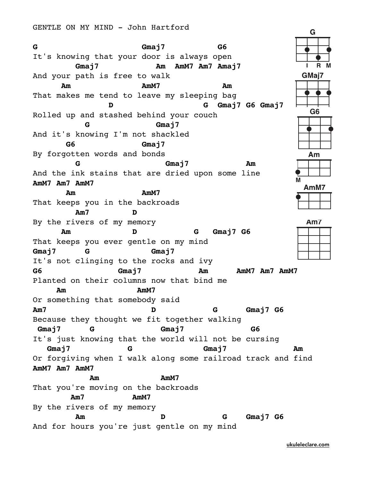**G Gmaj7 G6** It's knowing that your door is always open **Gmaj7 Am AmM7 Am7 Amaj7** R And your path is free to walk GMaj7 **Am AmM7 Am** That makes me tend to leave my sleeping bag **D G Gmaj7 G6 Gmaj7 G6** Rolled up and stashed behind your couch **G Gmaj7** And it's knowing I'm not shackled **G6 Gmaj7** By forgotten words and bonds Am **G Gmaj7 Am** And the ink stains that are dried upon some line **AmM7 Am7 AmM7** AmM7 **Am AmM7** That keeps you in the backroads **Am7 D** By the rivers of my memory **Am7 Am D G Gmaj7 G6** That keeps you ever gentle on my mind **Gmaj7 G Gmaj7** It's not clinging to the rocks and ivy **G6 Gmaj7 Am AmM7 Am7 AmM7** Planted on their columns now that bind me **Am AmM7** Or something that somebody said **Am7 D G Gmaj7 G6** Because they thought we fit together walking **Gmaj7 G Gmaj7 G6** It's just knowing that the world will not be cursing **Gmaj7 G Gmaj7 Am** Or forgiving when I walk along some railroad track and find **AmM7 Am7 AmM7 Am AmM7** That you're moving on the backroads **Am7 AmM7** By the rivers of my memory **Am D G Gmaj7 G6** And for hours you're just gentle on my mind

[ukuleleclare.com](http://ukuleleclare.com)

G